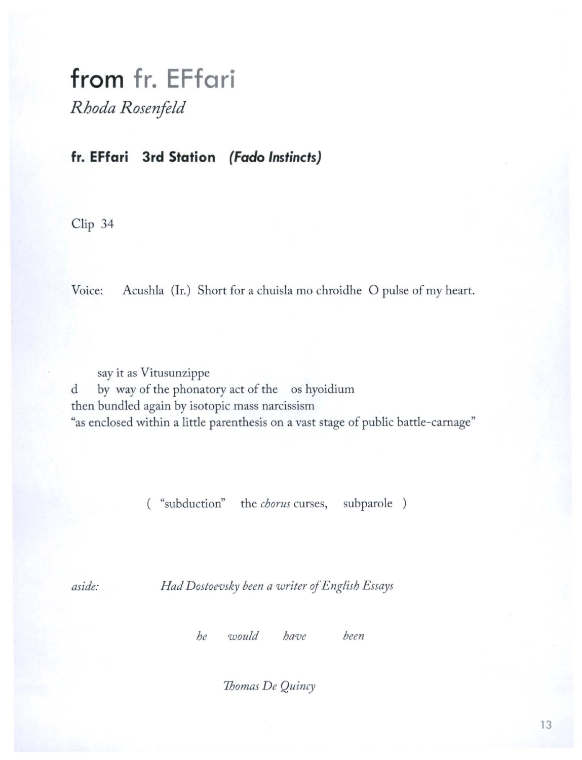## from fr. EFfari

*R hoda Rosenfeld* 

## **fr. EFfari 3rd Station** *{Fado Instincts)*

Clip 34

Voice: Acushla (Ir.) Short for a chuisla mo chroidhe O pulse of my heart.

say it as Vitusunzippe d by way of the phonatory act of the os hyoidium then bundled again by isotopic mass narcissism "as enclosed within a little parenthesis on a vast stage of public battle-carnage"

( "subduction" the *chorus* curses, subparole )

*aside: Had Dostoevsky been a writer of English Essays* 

*he w ould have been* 

*Thomas De Quincy*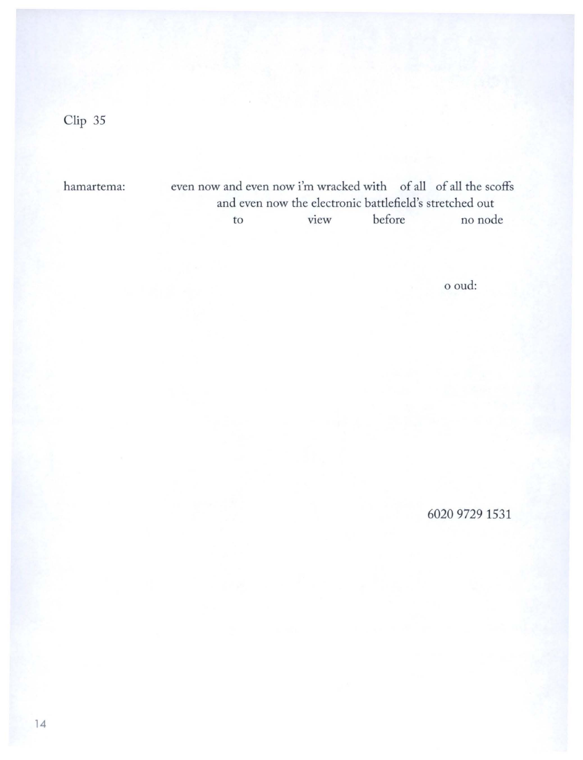hamartema:

even now and even now i'm wracked with of all of all the scoffs and even now the electronic battlefield's stretched out to view before no node

o oud:

6020 9729 1531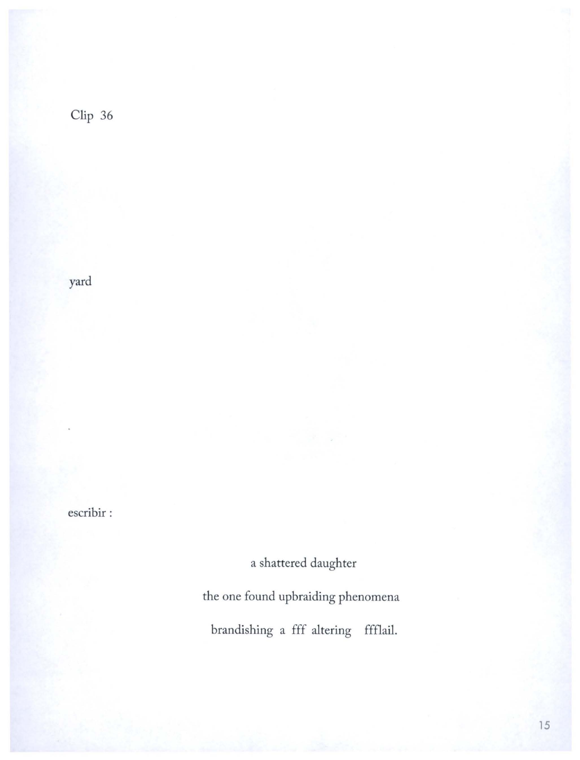yard

escribir :

a shattered daughter

the one found upbraiding phenomena

brandishing a fff altering ffflail.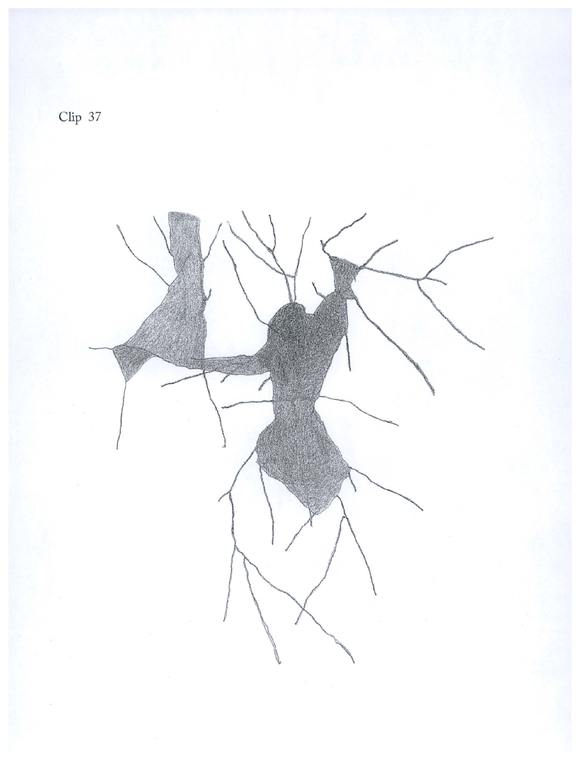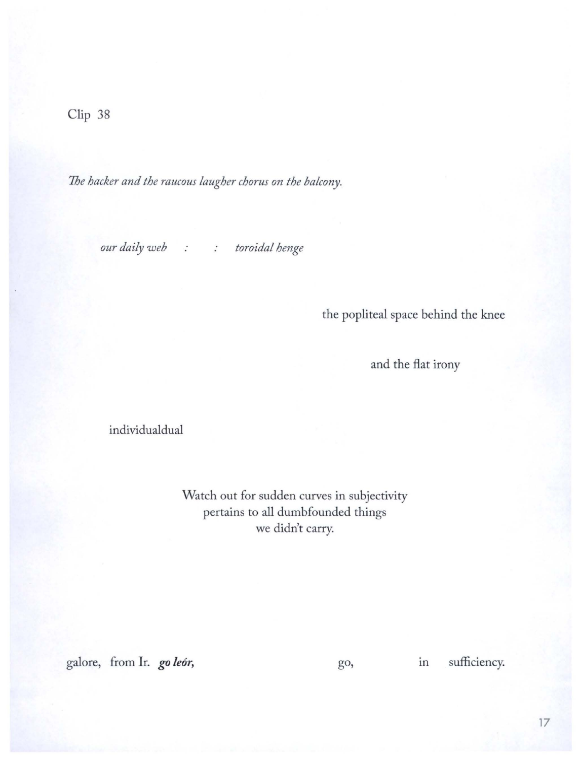*7he hacker and the raucous laugher chorus on the balcony.* 

*our daily web* : : toroidal henge

the popliteal space behind the knee

and the flat irony

individualdual

Watch out for sudden curves in subjectivity pertains to all dumbfounded things we didn't carry.

galore, from Ir. *go leór*, **go** *go*, in sufficiency.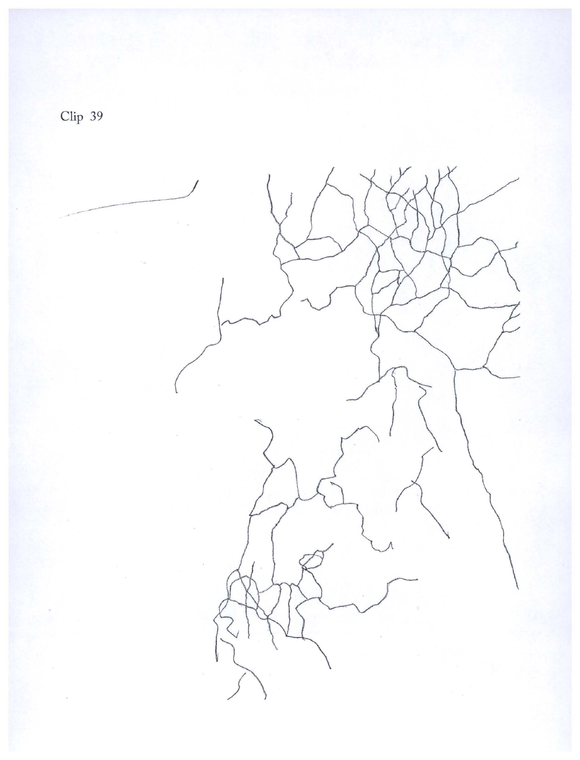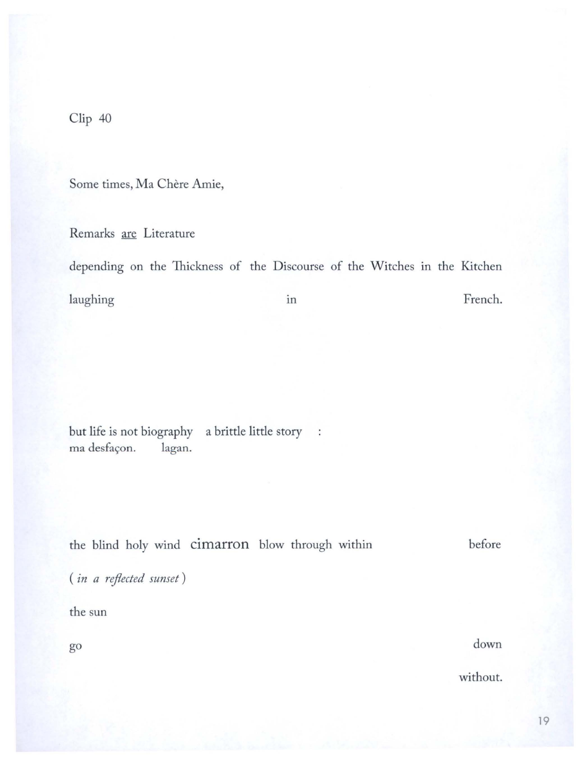Some times, Ma Chère Amie,

Remarks are Literature

depending on the Thickness of the Discourse of the Witches in the Kitchen French. laughing in

a brittle little story : but life is not biography ma desfaçon. lagan.

the blind holy wind cimarron blow through within before

(in a reflected sunset)

the sun

go

down

without.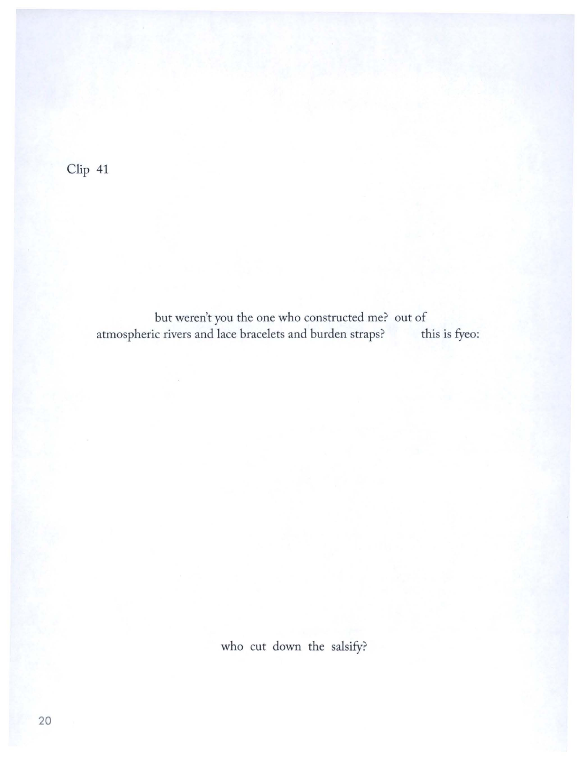but weren't you the one who constructed me? out of<br>ic rivers and lace bracelets and burden straps? this is fyeo: atmospheric rivers and lace bracelets and burden straps?

who cut down the salsify?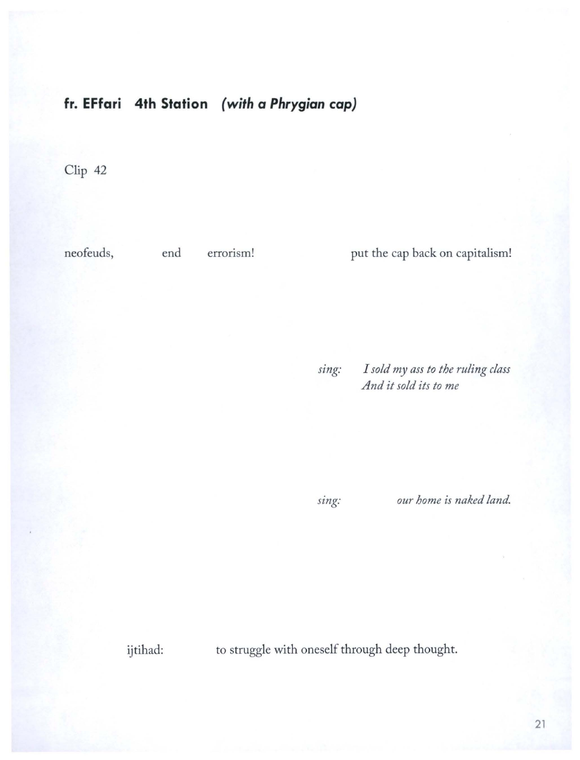## **fr. EFfari 4th Station** *(with a Phrygian cap)*

Clip 42

neofeuds, end errorism!

put the cap back on capitalism!

*sing: I sold my ass to the ruling class And it sold its to me* 

*sing: our home is naked land.* 

ijtihad:

to struggle with oneself through deep thought.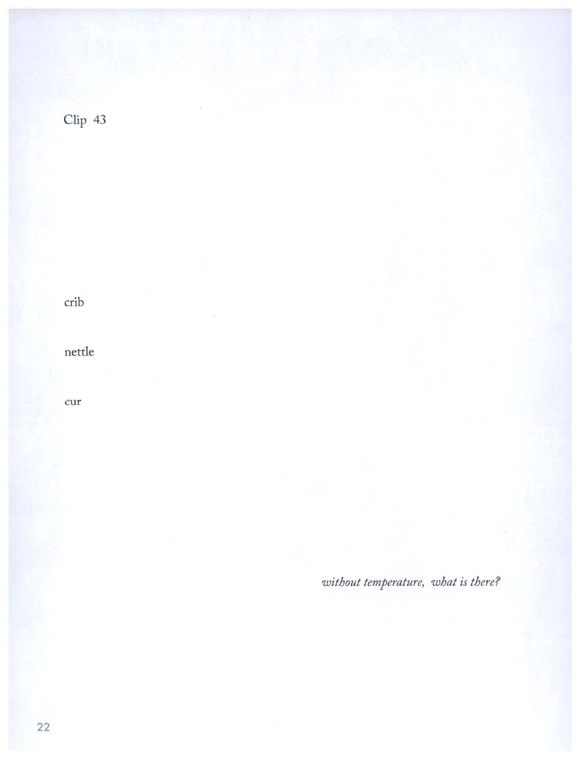crib

nettle

cur

without temperature, what is there?